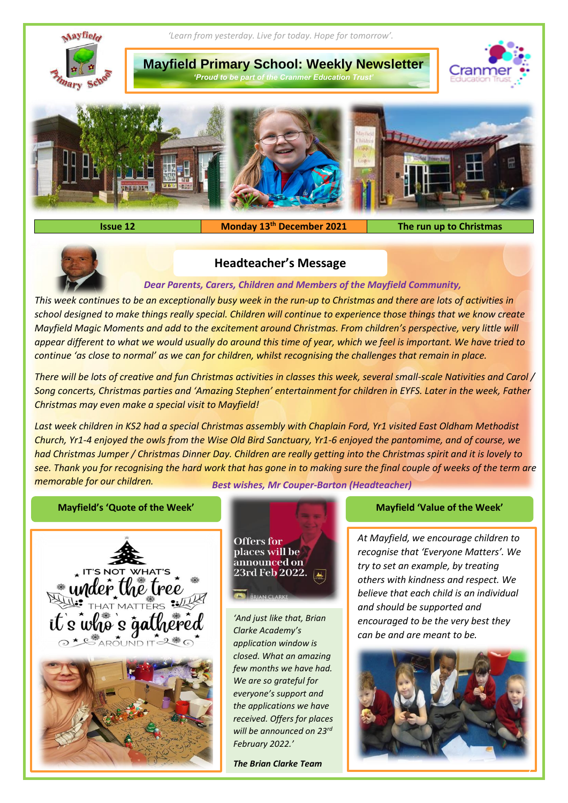

**Issue 12 Monday 13th December 2021 The run up to Christmas**



## **Headteacher's Message**

## *Dear Parents, Carers, Children and Members of the Mayfield Community,*

*This week continues to be an exceptionally busy week in the run-up to Christmas and there are lots of activities in school designed to make things really special. Children will continue to experience those things that we know create Mayfield Magic Moments and add to the excitement around Christmas. From children's perspective, very little will appear different to what we would usually do around this time of year, which we feel is important. We have tried to continue 'as close to normal' as we can for children, whilst recognising the challenges that remain in place.*

*There will be lots of creative and fun Christmas activities in classes this week, several small-scale Nativities and Carol / Song concerts, Christmas parties and 'Amazing Stephen' entertainment for children in EYFS. Later in the week, Father Christmas may even make a special visit to Mayfield!*

*Last week children in KS2 had a special Christmas assembly with Chaplain Ford, Yr1 visited East Oldham Methodist Church, Yr1-4 enjoyed the owls from the Wise Old Bird Sanctuary, Yr1-6 enjoyed the pantomime, and of course, we had Christmas Jumper / Christmas Dinner Day. Children are really getting into the Christmas spirit and it is lovely to see. Thank you for recognising the hard work that has gone in to making sure the final couple of weeks of the term are memorable for our children. Best wishes, Mr Couper-Barton (Headteacher)*

## **Mayfield's 'Quote of the Week' Mayfield 'Value of the Week'**





*'And just like that, Brian Clarke Academy's application window is closed. What an amazing few months we have had. We are so grateful for everyone's support and the applications we have received. Offers for places will be announced on 23rd February 2022.'* 

*The Brian Clarke Team*

*At Mayfield, we encourage children to recognise that 'Everyone Matters'. We try to set an example, by treating others with kindness and respect. We believe that each child is an individual and should be supported and encouraged to be the very best they can be and are meant to be.*

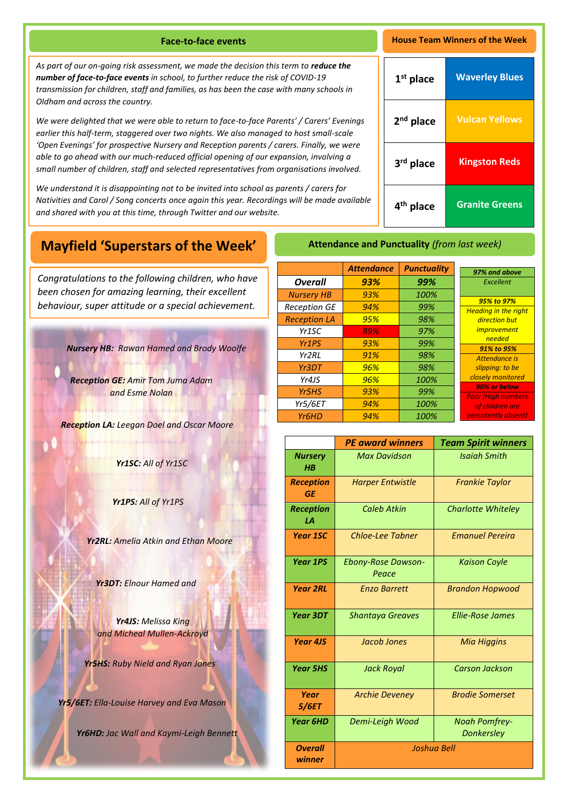**Face-to-face events House Team Winners of the Week**

As part of our on-going risk assessment, we made the decision this term to reduce the *number of face-to-face events in school, to further reduce the risk of COVID-19 transmission for children, staff and families, as has been the case with many schools in Oldham and across the country.*

*We were delighted that we were able to return to face-to-face Parents' / Carers' Evenings earlier this half-term, staggered over two nights. We also managed to host small-scale 'Open Evenings' for prospective Nursery and Reception parents / carers. Finally, we were able to go ahead with our much-reduced official opening of our expansion, involving a small number of children, staff and selected representatives from organisations involved.* 

*We understand it is disappointing not to be invited into school as parents / carers for Nativities and Carol / Song concerts once again this year. Recordings will be made available and shared with you at this time, through Twitter and our website.* 

| 1 <sup>st</sup> place | <b>Waverley Blues</b> |
|-----------------------|-----------------------|
| 2 <sup>nd</sup> place | <b>Vulcan Yellows</b> |
| 3rd place             | <b>Kingston Reds</b>  |
| 4 <sup>th</sup> place | <b>Granite Greens</b> |

# **Mayfield 'Superstars of the Week'**

A *been chosen for amazing learning, their excellent Congratulations to the following children, who have behaviour, super attitude or a special achievement.*

*Nursery HB: Rawan Hamed and Brody Woolfe*

*Reception GE: Amir Tom Juma Adam and Esme Nolan*

*Reception LA: Leegan Doel and Oscar Moore*

*Yr1SC: All of Yr1SC*

*Yr1PS: All of Yr1PS*

*Yr2RL: Amelia Atkin and Ethan Moore*

*Yr3DT: Elnour Hamed and* 

*Yr4JS: Melissa King and Micheal Mullen-Ackroyd*

*Yr5HS: Ruby Nield and Ryan Jones*

*Yr5/6ET: Ella-Louise Harvey and Eva Mason*

*Yr6HD: Jac Wall and Kaymi-Leigh Bennett*

|                     | <b>Attendance</b> |                    |                                            |
|---------------------|-------------------|--------------------|--------------------------------------------|
|                     |                   | <b>Punctuality</b> | 97% and above                              |
| <b>Overall</b>      | 93%               | 99%                | Excellent                                  |
| <b>Nursery HB</b>   | 93%               | 100%               |                                            |
| <b>Reception GE</b> | 94%               | 99%                | 95% to 97%<br><b>Heading in the right</b>  |
| <b>Reception LA</b> | 95%               | 98%                | direction but                              |
| Yr <sub>1</sub> SC  | 89%               | 97%                | <i>improvement</i>                         |
| Yr1PS               | 93%               | 99%                | needed<br>91% to 95%                       |
| Yr <sub>2</sub> RL  | 91%               | 98%                | Attendance is                              |
| Yr3DT               | 96%               | 98%                | slipping: to be                            |
| Yr4JS               | 96%               | 100%               | closely monitored                          |
| Yr5HS               | 93%               | 99%                | 90% or below<br><b>Poor (High numbers)</b> |
| Yr5/6ET             | 94%               | 100%               | of children are                            |
| Yr <sub>6</sub> HD  | 94%               | 100%               | persistently absent)                       |

**Attendance and Punctuality** *(from last week)*

|                               | <b>PE award winners</b>            | <b>Team Spirit winners</b>                |
|-------------------------------|------------------------------------|-------------------------------------------|
| <b>Nursery</b><br>H B         | <b>Max Davidson</b>                | <b>Isaiah Smith</b>                       |
| <b>Reception</b><br><b>GE</b> | <b>Harper Entwistle</b>            | <b>Frankie Taylor</b>                     |
| <b>Reception</b><br>1А        | Caleb Atkin                        | <b>Charlotte Whiteley</b>                 |
| <b>Year 1SC</b>               | <b>Chloe-Lee Tabner</b>            | <b>Fmanuel Pereira</b>                    |
| <b>Year 1PS</b>               | <b>Ebony-Rose Dawson-</b><br>Peace | <b>Kaison Coyle</b>                       |
| <b>Year 2RL</b>               | <b>Enzo Barrett</b>                | <b>Brandon Hopwood</b>                    |
| <b>Year 3DT</b>               | <b>Shantaya Greaves</b>            | <b>Ellie-Rose James</b>                   |
| Year 4JS                      | Jacob Jones                        | <b>Mia Higgins</b>                        |
| <b>Year 5HS</b>               | <b>Jack Royal</b>                  | <b>Carson Jackson</b>                     |
| Year<br>5/6ET                 | <b>Archie Deveney</b>              | <b>Brodie Somerset</b>                    |
| <b>Year 6HD</b>               | Demi-Leigh Wood                    | <b>Noah Pomfrey-</b><br><b>Donkersley</b> |
| <b>Overall</b><br>winner      | Joshua Bell                        |                                           |